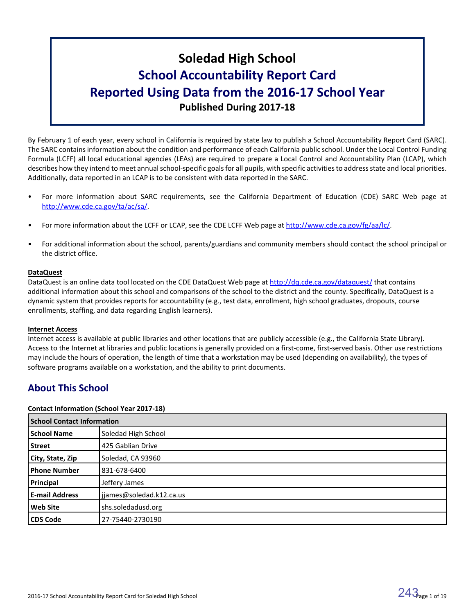# **Soledad High School School Accountability Report Card Reported Using Data from the 2016-17 School Year Published During 2017-18**

By February 1 of each year, every school in California is required by state law to publish a School Accountability Report Card (SARC). The SARC contains information about the condition and performance of each California public school. Under the Local Control Funding Formula (LCFF) all local educational agencies (LEAs) are required to prepare a Local Control and Accountability Plan (LCAP), which describes how they intend to meet annual school-specific goals for all pupils, with specific activities to address state and local priorities. Additionally, data reported in an LCAP is to be consistent with data reported in the SARC.

- For more information about SARC requirements, see the California Department of Education (CDE) SARC Web page at [http://www.cde.ca.gov/ta/ac/sa/.](http://www.cde.ca.gov/ta/ac/sa/)
- For more information about the LCFF or LCAP, see the CDE LCFF Web page at [http://www.cde.ca.gov/fg/aa/lc/.](http://www.cde.ca.gov/fg/aa/lc/)
- For additional information about the school, parents/guardians and community members should contact the school principal or the district office.

# **DataQuest**

DataQuest is an online data tool located on the CDE DataQuest Web page at <http://dq.cde.ca.gov/dataquest/> that contains additional information about this school and comparisons of the school to the district and the county. Specifically, DataQuest is a dynamic system that provides reports for accountability (e.g., test data, enrollment, high school graduates, dropouts, course enrollments, staffing, and data regarding English learners).

# **Internet Access**

Internet access is available at public libraries and other locations that are publicly accessible (e.g., the California State Library). Access to the Internet at libraries and public locations is generally provided on a first-come, first-served basis. Other use restrictions may include the hours of operation, the length of time that a workstation may be used (depending on availability), the types of software programs available on a workstation, and the ability to print documents.

# **About This School**

# **Contact Information (School Year 2017-18)**

| <b>School Contact Information</b> |                          |  |  |  |
|-----------------------------------|--------------------------|--|--|--|
| <b>School Name</b>                | Soledad High School      |  |  |  |
| <b>Street</b>                     | 425 Gablian Drive        |  |  |  |
| City, State, Zip                  | Soledad, CA 93960        |  |  |  |
| <b>Phone Number</b>               | 831-678-6400             |  |  |  |
| Principal                         | Jeffery James            |  |  |  |
| <b>E-mail Address</b>             | jjames@soledad.k12.ca.us |  |  |  |
| <b>Web Site</b>                   | shs.soledadusd.org       |  |  |  |
| <b>CDS Code</b>                   | 27-75440-2730190         |  |  |  |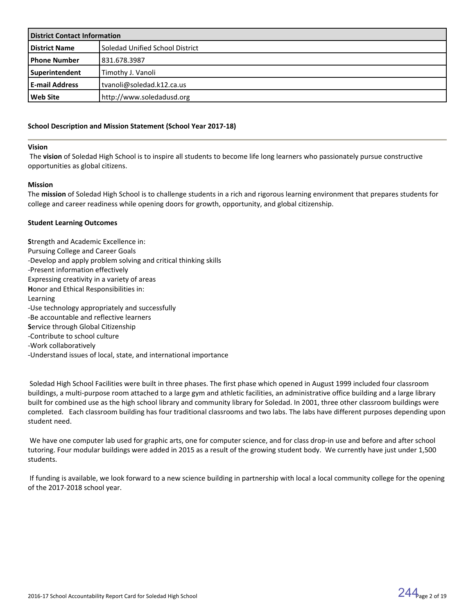| <b>District Contact Information</b> |                                 |  |  |
|-------------------------------------|---------------------------------|--|--|
| <b>District Name</b>                | Soledad Unified School District |  |  |
| <b>Phone Number</b>                 | 831.678.3987                    |  |  |
| Superintendent                      | Timothy J. Vanoli               |  |  |
| <b>E-mail Address</b>               | l tvanoli@soledad.k12.ca.us     |  |  |
| l Web Site                          | http://www.soledadusd.org       |  |  |

### **School Description and Mission Statement (School Year 2017-18)**

#### **Vision**

 The **vision** of Soledad High School is to inspire all students to become life long learners who passionately pursue constructive opportunities as global citizens.

### **Mission**

The **mission** of Soledad High School is to challenge students in a rich and rigorous learning environment that prepares students for college and career readiness while opening doors for growth, opportunity, and global citizenship.

### **Student Learning Outcomes**

**S**trength and Academic Excellence in: Pursuing College and Career Goals -Develop and apply problem solving and critical thinking skills -Present information effectively Expressing creativity in a variety of areas **H**onor and Ethical Responsibilities in: Learning -Use technology appropriately and successfully -Be accountable and reflective learners **S**ervice through Global Citizenship -Contribute to school culture -Work collaboratively -Understand issues of local, state, and international importance

 Soledad High School Facilities were built in three phases. The first phase which opened in August 1999 included four classroom buildings, a multi-purpose room attached to a large gym and athletic facilities, an administrative office building and a large library built for combined use as the high school library and community library for Soledad. In 2001, three other classroom buildings were completed. Each classroom building has four traditional classrooms and two labs. The labs have different purposes depending upon student need.

 We have one computer lab used for graphic arts, one for computer science, and for class drop-in use and before and after school tutoring. Four modular buildings were added in 2015 as a result of the growing student body. We currently have just under 1,500 students.

 If funding is available, we look forward to a new science building in partnership with local a local community college for the opening of the 2017-2018 school year.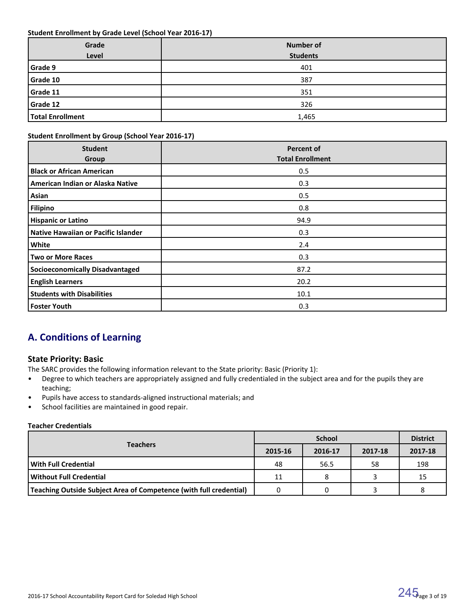### **Student Enrollment by Grade Level (School Year 2016-17)**

| Grade<br>Level   | <b>Number of</b><br><b>Students</b> |
|------------------|-------------------------------------|
|                  |                                     |
| Grade 9          | 401                                 |
| Grade 10         | 387                                 |
| Grade 11         | 351                                 |
| Grade 12         | 326                                 |
| Total Enrollment | 1,465                               |

# **Student Enrollment by Group (School Year 2016-17)**

| <b>Student</b><br>Group                | <b>Percent of</b><br><b>Total Enrollment</b> |
|----------------------------------------|----------------------------------------------|
| <b>Black or African American</b>       | 0.5                                          |
| American Indian or Alaska Native       | 0.3                                          |
| Asian                                  | 0.5                                          |
| <b>Filipino</b>                        | 0.8                                          |
| <b>Hispanic or Latino</b>              | 94.9                                         |
| Native Hawaiian or Pacific Islander    | 0.3                                          |
| White                                  | 2.4                                          |
| <b>Two or More Races</b>               | 0.3                                          |
| <b>Socioeconomically Disadvantaged</b> | 87.2                                         |
| <b>English Learners</b>                | 20.2                                         |
| <b>Students with Disabilities</b>      | 10.1                                         |
| <b>Foster Youth</b>                    | 0.3                                          |

# **A. Conditions of Learning**

# **State Priority: Basic**

The SARC provides the following information relevant to the State priority: Basic (Priority 1):

- Degree to which teachers are appropriately assigned and fully credentialed in the subject area and for the pupils they are teaching;
- Pupils have access to standards-aligned instructional materials; and
- School facilities are maintained in good repair.

# **Teacher Credentials**

|                                                                    |         | <b>District</b> |         |         |
|--------------------------------------------------------------------|---------|-----------------|---------|---------|
| <b>Teachers</b>                                                    | 2015-16 | 2016-17         | 2017-18 | 2017-18 |
| l With Full Credential                                             | 48      | 56.5            | 58      | 198     |
| l Without Full Credential                                          | 11      |                 |         | 15      |
| Teaching Outside Subject Area of Competence (with full credential) |         |                 |         |         |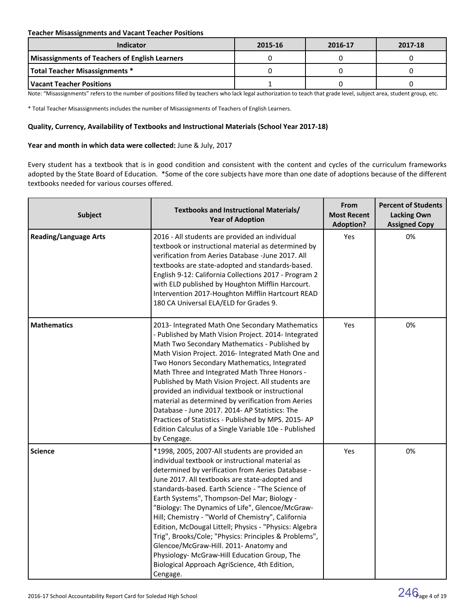# **Teacher Misassignments and Vacant Teacher Positions**

| <b>Indicator</b>                                      | 2015-16 | 2016-17 | 2017-18 |
|-------------------------------------------------------|---------|---------|---------|
| <b>Misassignments of Teachers of English Learners</b> |         |         |         |
| Total Teacher Misassignments *                        |         |         |         |
| Vacant Teacher Positions                              |         |         |         |

Note: "Misassignments" refers to the number of positions filled by teachers who lack legal authorization to teach that grade level, subject area, student group, etc.

\* Total Teacher Misassignments includes the number of Misassignments of Teachers of English Learners.

### **Quality, Currency, Availability of Textbooks and Instructional Materials (School Year 2017-18)**

### **Year and month in which data were collected:** June & July, 2017

Every student has a textbook that is in good condition and consistent with the content and cycles of the curriculum frameworks adopted by the State Board of Education. \*Some of the core subjects have more than one date of adoptions because of the different textbooks needed for various courses offered.

| <b>Subject</b>               | Textbooks and Instructional Materials/<br><b>Year of Adoption</b>                                                                                                                                                                                                                                                                                                                                                                                                                                                                                                                                                                                                                                | From<br><b>Most Recent</b><br><b>Adoption?</b> | <b>Percent of Students</b><br><b>Lacking Own</b><br><b>Assigned Copy</b> |
|------------------------------|--------------------------------------------------------------------------------------------------------------------------------------------------------------------------------------------------------------------------------------------------------------------------------------------------------------------------------------------------------------------------------------------------------------------------------------------------------------------------------------------------------------------------------------------------------------------------------------------------------------------------------------------------------------------------------------------------|------------------------------------------------|--------------------------------------------------------------------------|
| <b>Reading/Language Arts</b> | 2016 - All students are provided an individual<br>textbook or instructional material as determined by<br>verification from Aeries Database -June 2017. All<br>textbooks are state-adopted and standards-based.<br>English 9-12: California Collections 2017 - Program 2<br>with ELD published by Houghton Mifflin Harcourt.<br>Intervention 2017-Houghton Mifflin Hartcourt READ<br>180 CA Universal ELA/ELD for Grades 9.                                                                                                                                                                                                                                                                       | Yes                                            | 0%                                                                       |
| <b>Mathematics</b>           | 2013- Integrated Math One Secondary Mathematics<br>- Published by Math Vision Project. 2014- Integrated<br>Math Two Secondary Mathematics - Published by<br>Math Vision Project. 2016- Integrated Math One and<br>Two Honors Secondary Mathematics, Integrated<br>Math Three and Integrated Math Three Honors -<br>Published by Math Vision Project. All students are<br>provided an individual textbook or instructional<br>material as determined by verification from Aeries<br>Database - June 2017, 2014- AP Statistics: The<br>Practices of Statistics - Published by MPS. 2015-AP<br>Edition Calculus of a Single Variable 10e - Published<br>by Cengage.                                 | Yes                                            | 0%                                                                       |
| <b>Science</b>               | *1998, 2005, 2007-All students are provided an<br>individual textbook or instructional material as<br>determined by verification from Aeries Database -<br>June 2017. All textbooks are state-adopted and<br>standards-based. Earth Science - "The Science of<br>Earth Systems", Thompson-Del Mar; Biology -<br>"Biology: The Dynamics of Life", Glencoe/McGraw-<br>Hill; Chemistry - "World of Chemistry", California<br>Edition, McDougal Littell; Physics - "Physics: Algebra<br>Trig", Brooks/Cole; "Physics: Principles & Problems",<br>Glencoe/McGraw-Hill. 2011- Anatomy and<br>Physiology- McGraw-Hill Education Group, The<br>Biological Approach AgriScience, 4th Edition,<br>Cengage. | Yes                                            | 0%                                                                       |

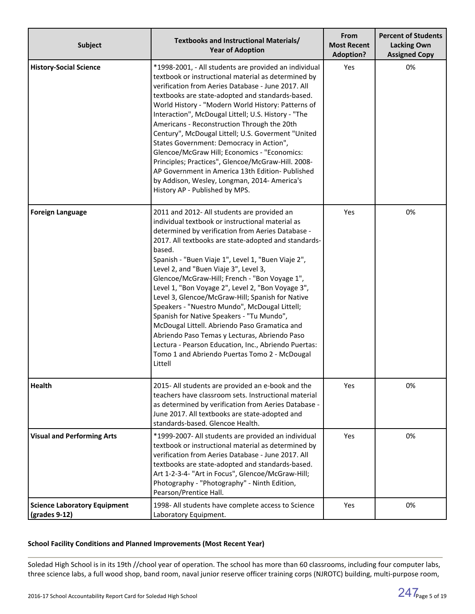| <b>Subject</b>                                                        | Textbooks and Instructional Materials/<br><b>Year of Adoption</b>                                                                                                                                                                                                                                                                                                                                                                                                                                                                                                                                                                                                                                                                                                                                   | From<br><b>Most Recent</b><br><b>Adoption?</b> | <b>Percent of Students</b><br><b>Lacking Own</b><br><b>Assigned Copy</b> |
|-----------------------------------------------------------------------|-----------------------------------------------------------------------------------------------------------------------------------------------------------------------------------------------------------------------------------------------------------------------------------------------------------------------------------------------------------------------------------------------------------------------------------------------------------------------------------------------------------------------------------------------------------------------------------------------------------------------------------------------------------------------------------------------------------------------------------------------------------------------------------------------------|------------------------------------------------|--------------------------------------------------------------------------|
| <b>History-Social Science</b>                                         | *1998-2001, - All students are provided an individual<br>textbook or instructional material as determined by<br>verification from Aeries Database - June 2017. All<br>textbooks are state-adopted and standards-based.<br>World History - "Modern World History: Patterns of<br>Interaction", McDougal Littell; U.S. History - "The<br>Americans - Reconstruction Through the 20th<br>Century", McDougal Littell; U.S. Goverment "United<br>States Government: Democracy in Action",<br>Glencoe/McGraw Hill; Economics - "Economics:<br>Principles; Practices", Glencoe/McGraw-Hill. 2008-<br>AP Government in America 13th Edition- Published<br>by Addison, Wesley, Longman, 2014- America's<br>History AP - Published by MPS.                                                                    | Yes                                            | 0%                                                                       |
| <b>Foreign Language</b>                                               | 2011 and 2012- All students are provided an<br>individual textbook or instructional material as<br>determined by verification from Aeries Database -<br>2017. All textbooks are state-adopted and standards-<br>based.<br>Spanish - "Buen Viaje 1", Level 1, "Buen Viaje 2",<br>Level 2, and "Buen Viaje 3", Level 3,<br>Glencoe/McGraw-Hill; French - "Bon Voyage 1",<br>Level 1, "Bon Voyage 2", Level 2, "Bon Voyage 3",<br>Level 3, Glencoe/McGraw-Hill; Spanish for Native<br>Speakers - "Nuestro Mundo", McDougal Littell;<br>Spanish for Native Speakers - "Tu Mundo",<br>McDougal Littell. Abriendo Paso Gramatica and<br>Abriendo Paso Temas y Lecturas, Abriendo Paso<br>Lectura - Pearson Education, Inc., Abriendo Puertas:<br>Tomo 1 and Abriendo Puertas Tomo 2 - McDougal<br>Littell | Yes                                            | 0%                                                                       |
| <b>Health</b>                                                         | 2015- All students are provided an e-book and the<br>teachers have classroom sets. Instructional material<br>as determined by verification from Aeries Database -<br>June 2017. All textbooks are state-adopted and<br>standards-based. Glencoe Health.                                                                                                                                                                                                                                                                                                                                                                                                                                                                                                                                             | Yes                                            | 0%                                                                       |
| <b>Visual and Performing Arts</b>                                     | *1999-2007- All students are provided an individual<br>textbook or instructional material as determined by<br>verification from Aeries Database - June 2017. All<br>textbooks are state-adopted and standards-based.<br>Art 1-2-3-4- "Art in Focus", Glencoe/McGraw-Hill;<br>Photography - "Photography" - Ninth Edition,<br>Pearson/Prentice Hall.                                                                                                                                                                                                                                                                                                                                                                                                                                                 | Yes                                            | 0%                                                                       |
| <b>Science Laboratory Equipment</b><br>$\left($ grades 9-12 $\right)$ | 1998- All students have complete access to Science<br>Laboratory Equipment.                                                                                                                                                                                                                                                                                                                                                                                                                                                                                                                                                                                                                                                                                                                         | Yes                                            | 0%                                                                       |

# **School Facility Conditions and Planned Improvements (Most Recent Year)**

Soledad High School is in its 19th //chool year of operation. The school has more than 60 classrooms, including four computer labs, three science labs, a full wood shop, band room, naval junior reserve officer training corps (NJROTC) building, multi-purpose room,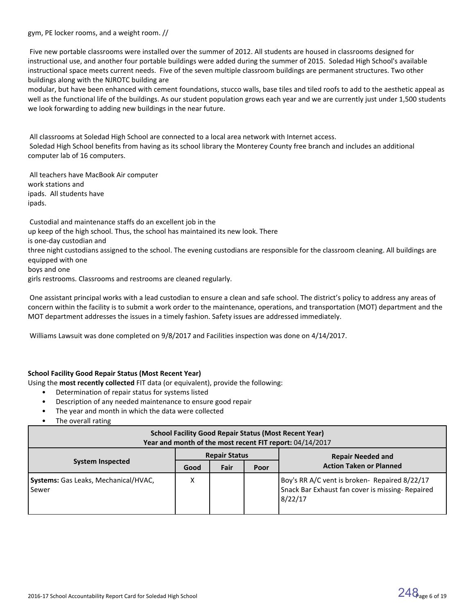gym, PE locker rooms, and a weight room. //

 Five new portable classrooms were installed over the summer of 2012. All students are housed in classrooms designed for instructional use, and another four portable buildings were added during the summer of 2015. Soledad High School's available instructional space meets current needs. Five of the seven multiple classroom buildings are permanent structures. Two other buildings along with the NJROTC building are

modular, but have been enhanced with cement foundations, stucco walls, base tiles and tiled roofs to add to the aesthetic appeal as well as the functional life of the buildings. As our student population grows each year and we are currently just under 1,500 students we look forwarding to adding new buildings in the near future.

 All classrooms at Soledad High School are connected to a local area network with Internet access. Soledad High School benefits from having as its school library the Monterey County free branch and includes an additional computer lab of 16 computers.

 All teachers have MacBook Air computer work stations and ipads. All students have ipads.

 Custodial and maintenance staffs do an excellent job in the up keep of the high school. Thus, the school has maintained its new look. There is one-day custodian and three night custodians assigned to the school. The evening custodians are responsible for the classroom cleaning. All buildings are equipped with one boys and one girls restrooms. Classrooms and restrooms are cleaned regularly.

 One assistant principal works with a lead custodian to ensure a clean and safe school. The district's policy to address any areas of concern within the facility is to submit a work order to the maintenance, operations, and transportation (MOT) department and the MOT department addresses the issues in a timely fashion. Safety issues are addressed immediately.

Williams Lawsuit was done completed on 9/8/2017 and Facilities inspection was done on 4/14/2017.

# **School Facility Good Repair Status (Most Recent Year)**

- Using the **most recently collected** FIT data (or equivalent), provide the following:
	- Determination of repair status for systems listed
	- Description of any needed maintenance to ensure good repair
	- The year and month in which the data were collected
	- The overall rating

| <b>School Facility Good Repair Status (Most Recent Year)</b><br>Year and month of the most recent FIT report: 04/14/2017 |                      |      |      |                                                                                                              |  |  |  |
|--------------------------------------------------------------------------------------------------------------------------|----------------------|------|------|--------------------------------------------------------------------------------------------------------------|--|--|--|
|                                                                                                                          | <b>Repair Status</b> |      |      | <b>Repair Needed and</b>                                                                                     |  |  |  |
| <b>System Inspected</b>                                                                                                  | Good                 | Fair | Poor | <b>Action Taken or Planned</b>                                                                               |  |  |  |
| <b>Systems:</b> Gas Leaks, Mechanical/HVAC,<br>l Sewer                                                                   | Χ                    |      |      | Boy's RR A/C vent is broken- Repaired 8/22/17<br>Snack Bar Exhaust fan cover is missing- Repaired<br>8/22/17 |  |  |  |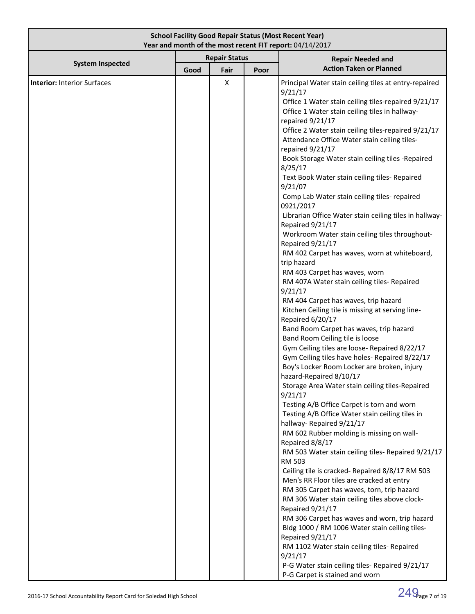| <b>School Facility Good Repair Status (Most Recent Year)</b><br>Year and month of the most recent FIT report: 04/14/2017 |      |                              |      |                                                                                                                                                                                                                                                                                                                                                                                                                                                                                                                                                                                                                                                                                                                                                                                                                                                                                                                                                                                                                                                                                                                                                                                                                                                                                                                                                                                                                                                                                                                                                                                                                                                                                                                                                                                                                                                                                                                                                                                                                               |  |  |  |
|--------------------------------------------------------------------------------------------------------------------------|------|------------------------------|------|-------------------------------------------------------------------------------------------------------------------------------------------------------------------------------------------------------------------------------------------------------------------------------------------------------------------------------------------------------------------------------------------------------------------------------------------------------------------------------------------------------------------------------------------------------------------------------------------------------------------------------------------------------------------------------------------------------------------------------------------------------------------------------------------------------------------------------------------------------------------------------------------------------------------------------------------------------------------------------------------------------------------------------------------------------------------------------------------------------------------------------------------------------------------------------------------------------------------------------------------------------------------------------------------------------------------------------------------------------------------------------------------------------------------------------------------------------------------------------------------------------------------------------------------------------------------------------------------------------------------------------------------------------------------------------------------------------------------------------------------------------------------------------------------------------------------------------------------------------------------------------------------------------------------------------------------------------------------------------------------------------------------------------|--|--|--|
| <b>System Inspected</b>                                                                                                  | Good | <b>Repair Status</b><br>Fair | Poor | <b>Repair Needed and</b><br><b>Action Taken or Planned</b>                                                                                                                                                                                                                                                                                                                                                                                                                                                                                                                                                                                                                                                                                                                                                                                                                                                                                                                                                                                                                                                                                                                                                                                                                                                                                                                                                                                                                                                                                                                                                                                                                                                                                                                                                                                                                                                                                                                                                                    |  |  |  |
| <b>Interior: Interior Surfaces</b>                                                                                       |      | X                            |      | Principal Water stain ceiling tiles at entry-repaired<br>9/21/17<br>Office 1 Water stain ceiling tiles-repaired 9/21/17<br>Office 1 Water stain ceiling tiles in hallway-<br>repaired 9/21/17<br>Office 2 Water stain ceiling tiles-repaired 9/21/17<br>Attendance Office Water stain ceiling tiles-<br>repaired 9/21/17<br>Book Storage Water stain ceiling tiles -Repaired<br>8/25/17<br>Text Book Water stain ceiling tiles- Repaired<br>9/21/07<br>Comp Lab Water stain ceiling tiles- repaired<br>0921/2017<br>Librarian Office Water stain ceiling tiles in hallway-<br>Repaired 9/21/17<br>Workroom Water stain ceiling tiles throughout-<br>Repaired 9/21/17<br>RM 402 Carpet has waves, worn at whiteboard,<br>trip hazard<br>RM 403 Carpet has waves, worn<br>RM 407A Water stain ceiling tiles- Repaired<br>9/21/17<br>RM 404 Carpet has waves, trip hazard<br>Kitchen Ceiling tile is missing at serving line-<br>Repaired 6/20/17<br>Band Room Carpet has waves, trip hazard<br>Band Room Ceiling tile is loose<br>Gym Ceiling tiles are loose- Repaired 8/22/17<br>Gym Ceiling tiles have holes- Repaired 8/22/17<br>Boy's Locker Room Locker are broken, injury<br>hazard-Repaired 8/10/17<br>Storage Area Water stain ceiling tiles-Repaired<br>9/21/17<br>Testing A/B Office Carpet is torn and worn<br>Testing A/B Office Water stain ceiling tiles in<br>hallway-Repaired 9/21/17<br>RM 602 Rubber molding is missing on wall-<br>Repaired 8/8/17<br>RM 503 Water stain ceiling tiles- Repaired 9/21/17<br>RM 503<br>Ceiling tile is cracked- Repaired 8/8/17 RM 503<br>Men's RR Floor tiles are cracked at entry<br>RM 305 Carpet has waves, torn, trip hazard<br>RM 306 Water stain ceiling tiles above clock-<br>Repaired 9/21/17<br>RM 306 Carpet has waves and worn, trip hazard<br>Bldg 1000 / RM 1006 Water stain ceiling tiles-<br>Repaired 9/21/17<br>RM 1102 Water stain ceiling tiles- Repaired<br>9/21/17<br>P-G Water stain ceiling tiles- Repaired 9/21/17<br>P-G Carpet is stained and worn |  |  |  |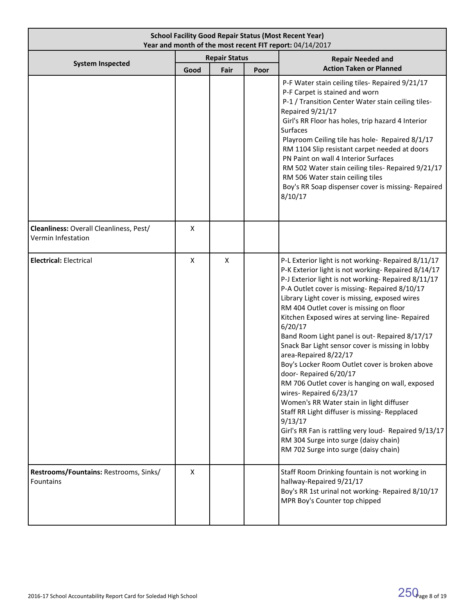| <b>School Facility Good Repair Status (Most Recent Year)</b><br>Year and month of the most recent FIT report: 04/14/2017 |                                              |   |  |                                                                                                                                                                                                                                                                                                                                                                                                                                                                                                                                                                                                                                                                                                                                                                                                                                                                                                                     |
|--------------------------------------------------------------------------------------------------------------------------|----------------------------------------------|---|--|---------------------------------------------------------------------------------------------------------------------------------------------------------------------------------------------------------------------------------------------------------------------------------------------------------------------------------------------------------------------------------------------------------------------------------------------------------------------------------------------------------------------------------------------------------------------------------------------------------------------------------------------------------------------------------------------------------------------------------------------------------------------------------------------------------------------------------------------------------------------------------------------------------------------|
| <b>System Inspected</b>                                                                                                  | <b>Repair Status</b><br>Poor<br>Good<br>Fair |   |  | <b>Repair Needed and</b><br><b>Action Taken or Planned</b>                                                                                                                                                                                                                                                                                                                                                                                                                                                                                                                                                                                                                                                                                                                                                                                                                                                          |
|                                                                                                                          |                                              |   |  | P-F Water stain ceiling tiles- Repaired 9/21/17<br>P-F Carpet is stained and worn<br>P-1 / Transition Center Water stain ceiling tiles-<br>Repaired 9/21/17<br>Girl's RR Floor has holes, trip hazard 4 Interior<br><b>Surfaces</b><br>Playroom Ceiling tile has hole- Repaired 8/1/17<br>RM 1104 Slip resistant carpet needed at doors<br>PN Paint on wall 4 Interior Surfaces<br>RM 502 Water stain ceiling tiles- Repaired 9/21/17<br>RM 506 Water stain ceiling tiles<br>Boy's RR Soap dispenser cover is missing- Repaired<br>8/10/17                                                                                                                                                                                                                                                                                                                                                                          |
| Cleanliness: Overall Cleanliness, Pest/<br>Vermin Infestation                                                            | Χ                                            |   |  |                                                                                                                                                                                                                                                                                                                                                                                                                                                                                                                                                                                                                                                                                                                                                                                                                                                                                                                     |
| <b>Electrical: Electrical</b>                                                                                            | X                                            | X |  | P-L Exterior light is not working- Repaired 8/11/17<br>P-K Exterior light is not working-Repaired 8/14/17<br>P-J Exterior light is not working-Repaired 8/11/17<br>P-A Outlet cover is missing-Repaired 8/10/17<br>Library Light cover is missing, exposed wires<br>RM 404 Outlet cover is missing on floor<br>Kitchen Exposed wires at serving line- Repaired<br>6/20/17<br>Band Room Light panel is out- Repaired 8/17/17<br>Snack Bar Light sensor cover is missing in lobby<br>area-Repaired 8/22/17<br>Boy's Locker Room Outlet cover is broken above<br>door-Repaired 6/20/17<br>RM 706 Outlet cover is hanging on wall, exposed<br>wires-Repaired 6/23/17<br>Women's RR Water stain in light diffuser<br>Staff RR Light diffuser is missing- Repplaced<br>9/13/17<br>Girl's RR Fan is rattling very loud- Repaired 9/13/17<br>RM 304 Surge into surge (daisy chain)<br>RM 702 Surge into surge (daisy chain) |
| Restrooms/Fountains: Restrooms, Sinks/<br><b>Fountains</b>                                                               | X                                            |   |  | Staff Room Drinking fountain is not working in<br>hallway-Repaired 9/21/17<br>Boy's RR 1st urinal not working- Repaired 8/10/17<br>MPR Boy's Counter top chipped                                                                                                                                                                                                                                                                                                                                                                                                                                                                                                                                                                                                                                                                                                                                                    |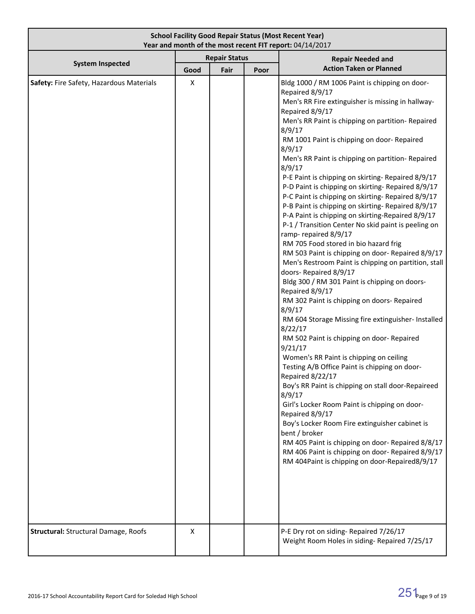| <b>School Facility Good Repair Status (Most Recent Year)</b><br>Year and month of the most recent FIT report: 04/14/2017 |                                      |  |      |                                                                                                                                                                                                                                                                                                                                                                                                                                                                                                                                                                                                                                                                                                                                                                                                                                                                                                                                                                                                                                                                                                                                                                                                                                                                                                                                                                                                                                                                                                                                                                                                                 |  |
|--------------------------------------------------------------------------------------------------------------------------|--------------------------------------|--|------|-----------------------------------------------------------------------------------------------------------------------------------------------------------------------------------------------------------------------------------------------------------------------------------------------------------------------------------------------------------------------------------------------------------------------------------------------------------------------------------------------------------------------------------------------------------------------------------------------------------------------------------------------------------------------------------------------------------------------------------------------------------------------------------------------------------------------------------------------------------------------------------------------------------------------------------------------------------------------------------------------------------------------------------------------------------------------------------------------------------------------------------------------------------------------------------------------------------------------------------------------------------------------------------------------------------------------------------------------------------------------------------------------------------------------------------------------------------------------------------------------------------------------------------------------------------------------------------------------------------------|--|
| <b>System Inspected</b>                                                                                                  | <b>Repair Status</b><br>Good<br>Fair |  | Poor | <b>Repair Needed and</b><br><b>Action Taken or Planned</b>                                                                                                                                                                                                                                                                                                                                                                                                                                                                                                                                                                                                                                                                                                                                                                                                                                                                                                                                                                                                                                                                                                                                                                                                                                                                                                                                                                                                                                                                                                                                                      |  |
| Safety: Fire Safety, Hazardous Materials                                                                                 | X                                    |  |      | Bldg 1000 / RM 1006 Paint is chipping on door-<br>Repaired 8/9/17<br>Men's RR Fire extinguisher is missing in hallway-<br>Repaired 8/9/17<br>Men's RR Paint is chipping on partition-Repaired<br>8/9/17<br>RM 1001 Paint is chipping on door- Repaired<br>8/9/17<br>Men's RR Paint is chipping on partition-Repaired<br>8/9/17<br>P-E Paint is chipping on skirting-Repaired 8/9/17<br>P-D Paint is chipping on skirting- Repaired 8/9/17<br>P-C Paint is chipping on skirting-Repaired 8/9/17<br>P-B Paint is chipping on skirting-Repaired 8/9/17<br>P-A Paint is chipping on skirting-Repaired 8/9/17<br>P-1 / Transition Center No skid paint is peeling on<br>ramp-repaired 8/9/17<br>RM 705 Food stored in bio hazard frig<br>RM 503 Paint is chipping on door- Repaired 8/9/17<br>Men's Restroom Paint is chipping on partition, stall<br>doors-Repaired 8/9/17<br>Bldg 300 / RM 301 Paint is chipping on doors-<br>Repaired 8/9/17<br>RM 302 Paint is chipping on doors- Repaired<br>8/9/17<br>RM 604 Storage Missing fire extinguisher- Installed<br>8/22/17<br>RM 502 Paint is chipping on door-Repaired<br>9/21/17<br>Women's RR Paint is chipping on ceiling<br>Testing A/B Office Paint is chipping on door-<br>Repaired 8/22/17<br>Boy's RR Paint is chipping on stall door-Repaireed<br>8/9/17<br>Girl's Locker Room Paint is chipping on door-<br>Repaired 8/9/17<br>Boy's Locker Room Fire extinguisher cabinet is<br>bent / broker<br>RM 405 Paint is chipping on door-Repaired 8/8/17<br>RM 406 Paint is chipping on door- Repaired 8/9/17<br>RM 404Paint is chipping on door-Repaired8/9/17 |  |
| <b>Structural: Structural Damage, Roofs</b>                                                                              | Χ                                    |  |      | P-E Dry rot on siding- Repaired 7/26/17<br>Weight Room Holes in siding-Repaired 7/25/17                                                                                                                                                                                                                                                                                                                                                                                                                                                                                                                                                                                                                                                                                                                                                                                                                                                                                                                                                                                                                                                                                                                                                                                                                                                                                                                                                                                                                                                                                                                         |  |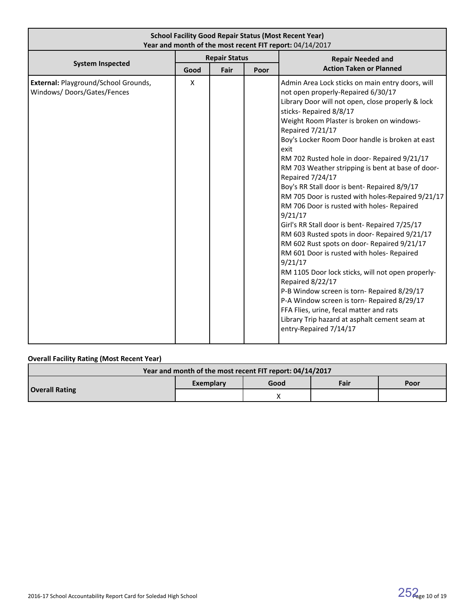| <b>School Facility Good Repair Status (Most Recent Year)</b><br>Year and month of the most recent FIT report: 04/14/2017 |      |                      |      |                                                                                                                                                                                                                                                                                                                                                                                                                                                                                                                                                                                                                                                                                                                                                                                                                                                                                                                                                                                                                                                                                               |  |  |  |
|--------------------------------------------------------------------------------------------------------------------------|------|----------------------|------|-----------------------------------------------------------------------------------------------------------------------------------------------------------------------------------------------------------------------------------------------------------------------------------------------------------------------------------------------------------------------------------------------------------------------------------------------------------------------------------------------------------------------------------------------------------------------------------------------------------------------------------------------------------------------------------------------------------------------------------------------------------------------------------------------------------------------------------------------------------------------------------------------------------------------------------------------------------------------------------------------------------------------------------------------------------------------------------------------|--|--|--|
|                                                                                                                          |      | <b>Repair Status</b> |      | <b>Repair Needed and</b>                                                                                                                                                                                                                                                                                                                                                                                                                                                                                                                                                                                                                                                                                                                                                                                                                                                                                                                                                                                                                                                                      |  |  |  |
| <b>System Inspected</b>                                                                                                  | Good | Fair                 | Poor | <b>Action Taken or Planned</b>                                                                                                                                                                                                                                                                                                                                                                                                                                                                                                                                                                                                                                                                                                                                                                                                                                                                                                                                                                                                                                                                |  |  |  |
| External: Playground/School Grounds,<br>Windows/Doors/Gates/Fences                                                       | X    |                      |      | Admin Area Lock sticks on main entry doors, will<br>not open properly-Repaired 6/30/17<br>Library Door will not open, close properly & lock<br>sticks-Repaired 8/8/17<br>Weight Room Plaster is broken on windows-<br>Repaired 7/21/17<br>Boy's Locker Room Door handle is broken at east<br>exit<br>RM 702 Rusted hole in door- Repaired 9/21/17<br>RM 703 Weather stripping is bent at base of door-<br>Repaired 7/24/17<br>Boy's RR Stall door is bent- Repaired 8/9/17<br>RM 705 Door is rusted with holes-Repaired 9/21/17<br>RM 706 Door is rusted with holes- Repaired<br>9/21/17<br>Girl's RR Stall door is bent- Repaired 7/25/17<br>RM 603 Rusted spots in door-Repaired 9/21/17<br>RM 602 Rust spots on door- Repaired 9/21/17<br>RM 601 Door is rusted with holes- Repaired<br>9/21/17<br>RM 1105 Door lock sticks, will not open properly-<br>Repaired 8/22/17<br>P-B Window screen is torn-Repaired 8/29/17<br>P-A Window screen is torn-Repaired 8/29/17<br>FFA Flies, urine, fecal matter and rats<br>Library Trip hazard at asphalt cement seam at<br>entry-Repaired 7/14/17 |  |  |  |

# **Overall Facility Rating (Most Recent Year)**

| Year and month of the most recent FIT report: 04/14/2017 |                   |  |      |      |  |  |  |
|----------------------------------------------------------|-------------------|--|------|------|--|--|--|
| <b>Overall Rating</b>                                    | Good<br>Exemplary |  | Fair | Poor |  |  |  |
|                                                          |                   |  |      |      |  |  |  |

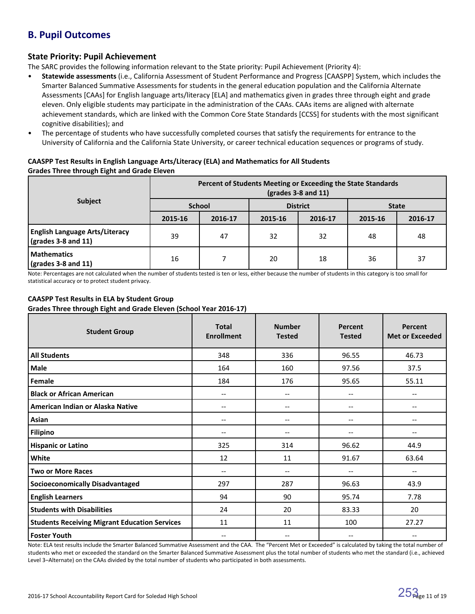# **B. Pupil Outcomes**

# **State Priority: Pupil Achievement**

The SARC provides the following information relevant to the State priority: Pupil Achievement (Priority 4):

- **Statewide assessments** (i.e., California Assessment of Student Performance and Progress [CAASPP] System, which includes the Smarter Balanced Summative Assessments for students in the general education population and the California Alternate Assessments [CAAs] for English language arts/literacy [ELA] and mathematics given in grades three through eight and grade eleven. Only eligible students may participate in the administration of the CAAs. CAAs items are aligned with alternate achievement standards, which are linked with the Common Core State Standards [CCSS] for students with the most significant cognitive disabilities); and
- The percentage of students who have successfully completed courses that satisfy the requirements for entrance to the University of California and the California State University, or career technical education sequences or programs of study.

# **CAASPP Test Results in English Language Arts/Literacy (ELA) and Mathematics for All Students Grades Three through Eight and Grade Eleven**

|                                                                      | Percent of Students Meeting or Exceeding the State Standards<br>$\left(\text{grades }3 - 8 \text{ and } 11\right)$ |               |         |                 |              |         |  |  |
|----------------------------------------------------------------------|--------------------------------------------------------------------------------------------------------------------|---------------|---------|-----------------|--------------|---------|--|--|
| <b>Subject</b>                                                       |                                                                                                                    | <b>School</b> |         | <b>District</b> | <b>State</b> |         |  |  |
|                                                                      | 2015-16                                                                                                            | 2016-17       | 2015-16 | 2016-17         | 2015-16      | 2016-17 |  |  |
| <b>English Language Arts/Literacy</b><br>$\vert$ (grades 3-8 and 11) | 39                                                                                                                 | 47            | 32      | 32              | 48           | 48      |  |  |
| <b>Mathematics</b><br>$\sqrt{grades}$ 3-8 and 11)                    | 16                                                                                                                 |               | 20      | 18              | 36           | 37      |  |  |

Note: Percentages are not calculated when the number of students tested is ten or less, either because the number of students in this category is too small for statistical accuracy or to protect student privacy.

# **CAASPP Test Results in ELA by Student Group**

**Grades Three through Eight and Grade Eleven (School Year 2016-17)**

| <b>Student Group</b>                                 | <b>Total</b><br><b>Enrollment</b>     | <b>Number</b><br><b>Tested</b>        | Percent<br><b>Tested</b>      | Percent<br><b>Met or Exceeded</b>     |
|------------------------------------------------------|---------------------------------------|---------------------------------------|-------------------------------|---------------------------------------|
| <b>All Students</b>                                  | 348                                   | 336                                   | 96.55                         | 46.73                                 |
| Male                                                 | 164                                   | 160                                   | 97.56                         | 37.5                                  |
| Female                                               | 184                                   | 176                                   | 95.65                         | 55.11                                 |
| <b>Black or African American</b>                     | $\hspace{0.05cm}$ – $\hspace{0.05cm}$ | $\qquad \qquad -$                     | $-\!$ $\!-$                   | --                                    |
| American Indian or Alaska Native                     | $\qquad \qquad -$                     | $\hspace{0.05cm}$ – $\hspace{0.05cm}$ | $\hspace{0.05cm} \textbf{--}$ | $\hspace{0.05cm}$ – $\hspace{0.05cm}$ |
| Asian                                                | --                                    | $-$                                   | $-$                           | --                                    |
| <b>Filipino</b>                                      | --                                    | --                                    | --                            |                                       |
| <b>Hispanic or Latino</b>                            | 325                                   | 314                                   | 96.62                         | 44.9                                  |
| White                                                | 12                                    | 11                                    | 91.67                         | 63.64                                 |
| <b>Two or More Races</b>                             | --                                    | $\qquad \qquad -$                     |                               |                                       |
| <b>Socioeconomically Disadvantaged</b>               | 297                                   | 287                                   | 96.63                         | 43.9                                  |
| <b>English Learners</b>                              | 94                                    | 90                                    | 95.74                         | 7.78                                  |
| <b>Students with Disabilities</b>                    | 24                                    | 20                                    | 83.33                         | 20                                    |
| <b>Students Receiving Migrant Education Services</b> | 11                                    | 11                                    | 100                           | 27.27                                 |
| <b>Foster Youth</b>                                  | $\hspace{0.05cm}$ – $\hspace{0.05cm}$ | $-\!$ $\!-$                           | $-\!$ $\!-$                   | $-$                                   |

Note: ELA test results include the Smarter Balanced Summative Assessment and the CAA. The "Percent Met or Exceeded" is calculated by taking the total number of students who met or exceeded the standard on the Smarter Balanced Summative Assessment plus the total number of students who met the standard (i.e., achieved Level 3–Alternate) on the CAAs divided by the total number of students who participated in both assessments.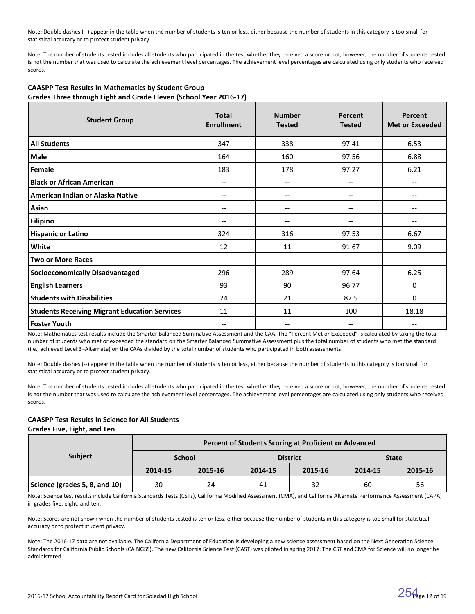Note: Double dashes (--) appear in the table when the number of students is ten or less, either because the number of students in this category is too small for statistical accuracy or to protect student privacy.

Note: The number of students tested includes all students who participated in the test whether they received a score or not; however, the number of students tested is not the number that was used to calculate the achievement level percentages. The achievement level percentages are calculated using only students who received scores.

| <b>Student Group</b>                                 | <b>Total</b><br><b>Enrollment</b> | <b>Number</b><br><b>Tested</b> | Percent<br><b>Tested</b> | Percent<br><b>Met or Exceeded</b> |
|------------------------------------------------------|-----------------------------------|--------------------------------|--------------------------|-----------------------------------|
| <b>All Students</b>                                  | 347                               | 338                            | 97.41                    | 6.53                              |
| <b>Male</b>                                          | 164                               | 160                            | 97.56                    | 6.88                              |
| Female                                               | 183                               | 178                            | 97.27                    | 6.21                              |
| <b>Black or African American</b>                     | --                                | $\overline{\phantom{m}}$       | --                       |                                   |
| American Indian or Alaska Native                     | --                                | $-\!$ $\!-$                    | --                       |                                   |
| Asian                                                | $-$                               | $\overline{\phantom{a}}$       | --                       |                                   |
| <b>Filipino</b>                                      |                                   | --                             |                          |                                   |
| <b>Hispanic or Latino</b>                            | 324                               | 316                            | 97.53                    | 6.67                              |
| White                                                | 12                                | 11                             | 91.67                    | 9.09                              |
| <b>Two or More Races</b>                             | --                                | $\qquad \qquad -$              | --                       | --                                |
| <b>Socioeconomically Disadvantaged</b>               | 296                               | 289                            | 97.64                    | 6.25                              |
| <b>English Learners</b>                              | 93                                | 90                             | 96.77                    | 0                                 |
| <b>Students with Disabilities</b>                    | 24                                | 21                             | 87.5                     | $\mathbf{0}$                      |
| <b>Students Receiving Migrant Education Services</b> | 11                                | 11                             | 100                      | 18.18                             |
| <b>Foster Youth</b>                                  | --                                | $-$                            | --                       |                                   |

### **CAASPP Test Results in Mathematics by Student Group Grades Three through Eight and Grade Eleven (School Year 2016-17)**

Note: Mathematics test results include the Smarter Balanced Summative Assessment and the CAA. The "Percent Met or Exceeded" is calculated by taking the total number of students who met or exceeded the standard on the Smarter Balanced Summative Assessment plus the total number of students who met the standard (i.e., achieved Level 3–Alternate) on the CAAs divided by the total number of students who participated in both assessments.

Note: Double dashes (--) appear in the table when the number of students is ten or less, either because the number of students in this category is too small for statistical accuracy or to protect student privacy.

Note: The number of students tested includes all students who participated in the test whether they received a score or not; however, the number of students tested is not the number that was used to calculate the achievement level percentages. The achievement level percentages are calculated using only students who received scores.

# **CAASPP Test Results in Science for All Students**

#### **Grades Five, Eight, and Ten**

|                               | Percent of Students Scoring at Proficient or Advanced |               |         |                 |              |         |  |
|-------------------------------|-------------------------------------------------------|---------------|---------|-----------------|--------------|---------|--|
| <b>Subject</b>                |                                                       | <b>School</b> |         | <b>District</b> | <b>State</b> |         |  |
|                               | 2014-15                                               | 2015-16       | 2014-15 | 2015-16         | 2014-15      | 2015-16 |  |
| Science (grades 5, 8, and 10) | 30                                                    | 24            | 41      | 32              | 60           | 56      |  |

Note: Science test results include California Standards Tests (CSTs), California Modified Assessment (CMA), and California Alternate Performance Assessment (CAPA) in grades five, eight, and ten.

Note: Scores are not shown when the number of students tested is ten or less, either because the number of students in this category is too small for statistical accuracy or to protect student privacy.

Note: The 2016-17 data are not available. The California Department of Education is developing a new science assessment based on the Next Generation Science Standards for California Public Schools (CA NGSS). The new California Science Test (CAST) was piloted in spring 2017. The CST and CMA for Science will no longer be administered.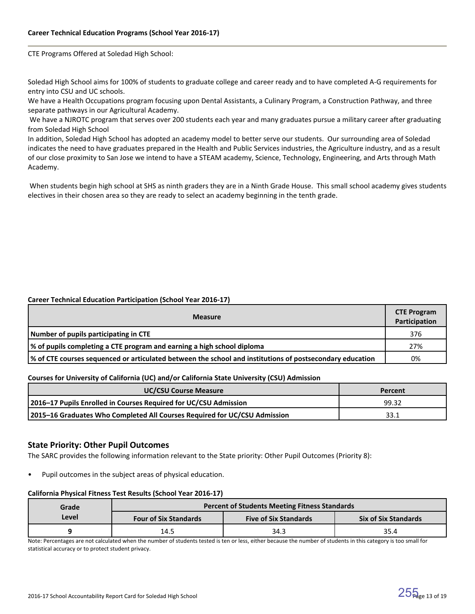CTE Programs Offered at Soledad High School:

Soledad High School aims for 100% of students to graduate college and career ready and to have completed A-G requirements for entry into CSU and UC schools.

We have a Health Occupations program focusing upon Dental Assistants, a Culinary Program, a Construction Pathway, and three separate pathways in our Agricultural Academy.

 We have a NJROTC program that serves over 200 students each year and many graduates pursue a military career after graduating from Soledad High School

In addition, Soledad High School has adopted an academy model to better serve our students. Our surrounding area of Soledad indicates the need to have graduates prepared in the Health and Public Services industries, the Agriculture industry, and as a result of our close proximity to San Jose we intend to have a STEAM academy, Science, Technology, Engineering, and Arts through Math Academy.

 When students begin high school at SHS as ninth graders they are in a Ninth Grade House. This small school academy gives students electives in their chosen area so they are ready to select an academy beginning in the tenth grade.

### **Career Technical Education Participation (School Year 2016-17)**

| <b>Measure</b>                                                                                           | <b>CTE Program</b><br>Participation |  |  |  |  |
|----------------------------------------------------------------------------------------------------------|-------------------------------------|--|--|--|--|
| Number of pupils participating in CTE                                                                    |                                     |  |  |  |  |
| % of pupils completing a CTE program and earning a high school diploma                                   |                                     |  |  |  |  |
| √ of CTE courses sequenced or articulated between the school and institutions of postsecondary education | 0%                                  |  |  |  |  |

### **Courses for University of California (UC) and/or California State University (CSU) Admission**

| <b>UC/CSU Course Measure</b>                                              | Percent |
|---------------------------------------------------------------------------|---------|
| 2016–17 Pupils Enrolled in Courses Required for UC/CSU Admission          | 99.32   |
| 2015-16 Graduates Who Completed All Courses Required for UC/CSU Admission | 33.1    |

# **State Priority: Other Pupil Outcomes**

The SARC provides the following information relevant to the State priority: Other Pupil Outcomes (Priority 8):

Pupil outcomes in the subject areas of physical education.

#### **California Physical Fitness Test Results (School Year 2016-17)**

| Grade                                 | <b>Percent of Students Meeting Fitness Standards</b> |                              |                             |  |  |  |
|---------------------------------------|------------------------------------------------------|------------------------------|-----------------------------|--|--|--|
| Level<br><b>Four of Six Standards</b> |                                                      | <b>Five of Six Standards</b> | <b>Six of Six Standards</b> |  |  |  |
|                                       | 14.5                                                 | 34.3                         | 35.4                        |  |  |  |

Note: Percentages are not calculated when the number of students tested is ten or less, either because the number of students in this category is too small for statistical accuracy or to protect student privacy.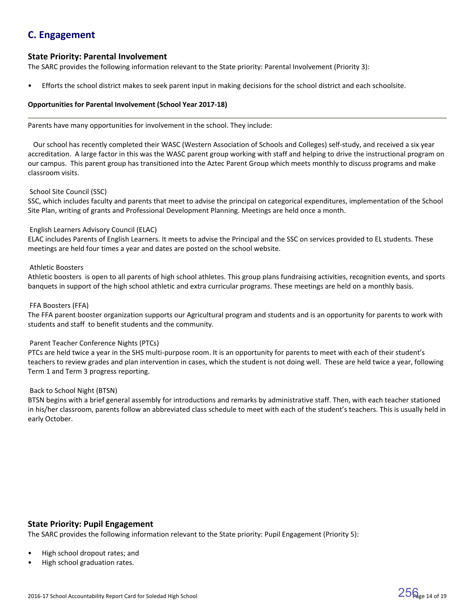# **C. Engagement**

# **State Priority: Parental Involvement**

The SARC provides the following information relevant to the State priority: Parental Involvement (Priority 3):

• Efforts the school district makes to seek parent input in making decisions for the school district and each schoolsite.

### **Opportunities for Parental Involvement (School Year 2017-18)**

Parents have many opportunities for involvement in the school. They include:

 Our school has recently completed their WASC (Western Association of Schools and Colleges) self-study, and received a six year accreditation. A large factor in this was the WASC parent group working with staff and helping to drive the instructional program on our campus. This parent group has transitioned into the Aztec Parent Group which meets monthly to discuss programs and make classroom visits.

### School Site Council (SSC)

SSC, which includes faculty and parents that meet to advise the principal on categorical expenditures, implementation of the School Site Plan, writing of grants and Professional Development Planning. Meetings are held once a month.

### English Learners Advisory Council (ELAC)

ELAC includes Parents of English Learners. It meets to advise the Principal and the SSC on services provided to EL students. These meetings are held four times a year and dates are posted on the school website.

### Athletic Boosters

Athletic boosters is open to all parents of high school athletes. This group plans fundraising activities, recognition events, and sports banquets in support of the high school athletic and extra curricular programs. These meetings are held on a monthly basis.

### FFA Boosters (FFA)

The FFA parent booster organization supports our Agricultural program and students and is an opportunity for parents to work with students and staff to benefit students and the community.

### Parent Teacher Conference Nights (PTCs)

PTCs are held twice a year in the SHS multi-purpose room. It is an opportunity for parents to meet with each of their student's teachers to review grades and plan intervention in cases, which the student is not doing well. These are held twice a year, following Term 1 and Term 3 progress reporting.

### Back to School Night (BTSN)

BTSN begins with a brief general assembly for introductions and remarks by administrative staff. Then, with each teacher stationed in his/her classroom, parents follow an abbreviated class schedule to meet with each of the student's teachers. This is usually held in early October.

# **State Priority: Pupil Engagement**

The SARC provides the following information relevant to the State priority: Pupil Engagement (Priority 5):

- High school dropout rates; and
- High school graduation rates.

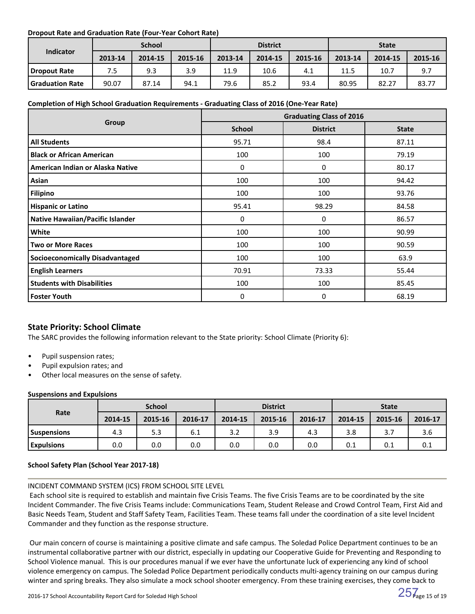# **Dropout Rate and Graduation Rate (Four-Year Cohort Rate)**

|                        | <b>School</b> |         |         | <b>District</b> |         |         | <b>State</b> |         |         |
|------------------------|---------------|---------|---------|-----------------|---------|---------|--------------|---------|---------|
| <b>Indicator</b>       | 2013-14       | 2014-15 | 2015-16 | 2013-14         | 2014-15 | 2015-16 | 2013-14      | 2014-15 | 2015-16 |
| Dropout Rate           | 7.5           | 9.3     | 3.9     | 11.9            | 10.6    | 4.1     | 11.5         | 10.7    | 9.7     |
| <b>Graduation Rate</b> | 90.07         | 87.14   | 94.1    | 79.6            | 85.2    | 93.4    | 80.95        | 82.27   | 83.77   |

# **Completion of High School Graduation Requirements - Graduating Class of 2016 (One-Year Rate)**

|                                         | <b>Graduating Class of 2016</b> |                 |              |  |  |
|-----------------------------------------|---------------------------------|-----------------|--------------|--|--|
| Group                                   | <b>School</b>                   | <b>District</b> | <b>State</b> |  |  |
| <b>All Students</b>                     | 95.71                           | 98.4            | 87.11        |  |  |
| <b>Black or African American</b>        | 100                             | 100             | 79.19        |  |  |
| American Indian or Alaska Native        | 0                               | 0               | 80.17        |  |  |
| Asian                                   | 100                             | 100             | 94.42        |  |  |
| <b>Filipino</b>                         | 100                             | 100             | 93.76        |  |  |
| <b>Hispanic or Latino</b>               | 95.41                           | 98.29           | 84.58        |  |  |
| <b>Native Hawaiian/Pacific Islander</b> | 0                               | $\Omega$        | 86.57        |  |  |
| White                                   | 100                             | 100             | 90.99        |  |  |
| <b>Two or More Races</b>                | 100                             | 100             | 90.59        |  |  |
| <b>Socioeconomically Disadvantaged</b>  | 100                             | 100             | 63.9         |  |  |
| <b>English Learners</b>                 | 70.91                           | 73.33           | 55.44        |  |  |
| <b>Students with Disabilities</b>       | 100                             | 100             | 85.45        |  |  |
| <b>Foster Youth</b>                     | 0                               | 0               | 68.19        |  |  |

# **State Priority: School Climate**

The SARC provides the following information relevant to the State priority: School Climate (Priority 6):

- Pupil suspension rates;
- Pupil expulsion rates; and
- Other local measures on the sense of safety.

# **Suspensions and Expulsions**

|                    | <b>School</b> |         |         | <b>District</b> |         |         | <b>State</b> |         |         |
|--------------------|---------------|---------|---------|-----------------|---------|---------|--------------|---------|---------|
| Rate               | 2014-15       | 2015-16 | 2016-17 | 2014-15         | 2015-16 | 2016-17 | 2014-15      | 2015-16 | 2016-17 |
| <b>Suspensions</b> | 4.3           | 5.3     | 6.1     | 3.2             | 3.9     | 4.3     | 3.8          | 3.7     | 3.6     |
| <b>Expulsions</b>  | 0.0           | 0.0     | 0.0     | 0.0             | 0.0     | 0.0     | 0.1          | 0.1     | 0.1     |

# **School Safety Plan (School Year 2017-18)**

# INCIDENT COMMAND SYSTEM (ICS) FROM SCHOOL SITE LEVEL

 Each school site is required to establish and maintain five Crisis Teams. The five Crisis Teams are to be coordinated by the site Incident Commander. The five Crisis Teams include: Communications Team, Student Release and Crowd Control Team, First Aid and Basic Needs Team, Student and Staff Safety Team, Facilities Team. These teams fall under the coordination of a site level Incident Commander and they function as the response structure.

 Our main concern of course is maintaining a positive climate and safe campus. The Soledad Police Department continues to be an instrumental collaborative partner with our district, especially in updating our Cooperative Guide for Preventing and Responding to School Violence manual. This is our procedures manual if we ever have the unfortunate luck of experiencing any kind of school violence emergency on campus. The Soledad Police Department periodically conducts multi-agency training on our campus during winter and spring breaks. They also simulate a mock school shooter emergency. From these training exercises, they come back to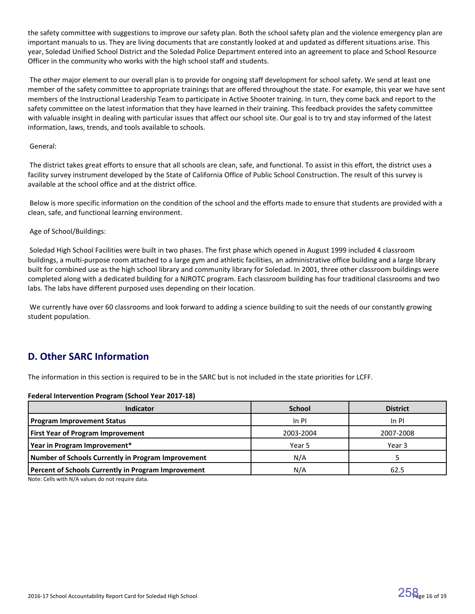the safety committee with suggestions to improve our safety plan. Both the school safety plan and the violence emergency plan are important manuals to us. They are living documents that are constantly looked at and updated as different situations arise. This year, Soledad Unified School District and the Soledad Police Department entered into an agreement to place and School Resource Officer in the community who works with the high school staff and students.

 The other major element to our overall plan is to provide for ongoing staff development for school safety. We send at least one member of the safety committee to appropriate trainings that are offered throughout the state. For example, this year we have sent members of the Instructional Leadership Team to participate in Active Shooter training. In turn, they come back and report to the safety committee on the latest information that they have learned in their training. This feedback provides the safety committee with valuable insight in dealing with particular issues that affect our school site. Our goal is to try and stay informed of the latest information, laws, trends, and tools available to schools.

### General:

 The district takes great efforts to ensure that all schools are clean, safe, and functional. To assist in this effort, the district uses a facility survey instrument developed by the State of California Office of Public School Construction. The result of this survey is available at the school office and at the district office.

 Below is more specific information on the condition of the school and the efforts made to ensure that students are provided with a clean, safe, and functional learning environment.

# Age of School/Buildings:

 Soledad High School Facilities were built in two phases. The first phase which opened in August 1999 included 4 classroom buildings, a multi-purpose room attached to a large gym and athletic facilities, an administrative office building and a large library built for combined use as the high school library and community library for Soledad. In 2001, three other classroom buildings were completed along with a dedicated building for a NJROTC program. Each classroom building has four traditional classrooms and two labs. The labs have different purposed uses depending on their location.

 We currently have over 60 classrooms and look forward to adding a science building to suit the needs of our constantly growing student population.

# **D. Other SARC Information**

The information in this section is required to be in the SARC but is not included in the state priorities for LCFF.

### **Federal Intervention Program (School Year 2017-18)**

| <b>Indicator</b>                                    | <b>School</b> | <b>District</b> |
|-----------------------------------------------------|---------------|-----------------|
| <b>Program Improvement Status</b>                   | $In$ PI       | $In$ PI         |
| <b>First Year of Program Improvement</b>            | 2003-2004     | 2007-2008       |
| Year in Program Improvement*                        | Year 5        | Year 3          |
| Number of Schools Currently in Program Improvement  | N/A           |                 |
| Percent of Schools Currently in Program Improvement | N/A           | 62.5            |

Note: Cells with N/A values do not require data.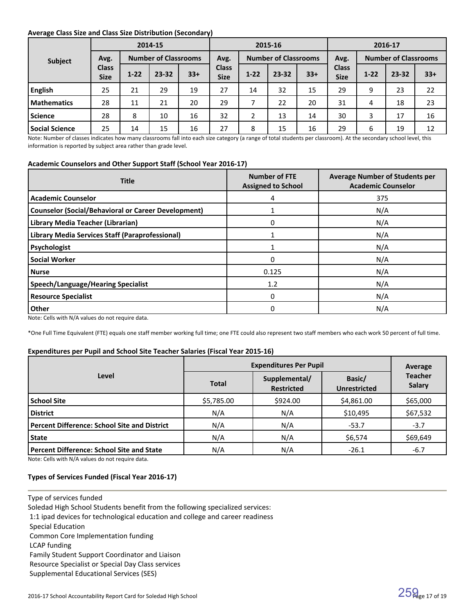### **Average Class Size and Class Size Distribution (Secondary)**

|                    |                             |                             | 2014-15 |                                     | 2015-16                     |                                     |           | 2016-17 |                             |          |           |       |
|--------------------|-----------------------------|-----------------------------|---------|-------------------------------------|-----------------------------|-------------------------------------|-----------|---------|-----------------------------|----------|-----------|-------|
| Subject            | Avg.                        | <b>Number of Classrooms</b> |         | <b>Number of Classrooms</b><br>Avg. |                             | <b>Number of Classrooms</b><br>Avg. |           |         |                             |          |           |       |
|                    | <b>Class</b><br><b>Size</b> | $1 - 22$                    | 23-32   | $33+$                               | <b>Class</b><br><b>Size</b> | $1-22$                              | $23 - 32$ | $33+$   | <b>Class</b><br><b>Size</b> | $1 - 22$ | $23 - 32$ | $33+$ |
| <b>English</b>     | 25                          | 21                          | 29      | 19                                  | 27                          | 14                                  | 32        | 15      | 29                          | 9        | 23        | 22    |
| <b>Mathematics</b> | 28                          | 11                          | 21      | 20                                  | 29                          |                                     | 22        | 20      | 31                          | 4        | 18        | 23    |
| Science            | 28                          | 8                           | 10      | 16                                  | 32                          | 2                                   | 13        | 14      | 30                          | 3        | 17        | 16    |
| Social Science     | 25                          | 14                          | 15      | 16                                  | 27                          | 8                                   | 15        | 16      | 29                          | 6        | 19        | 12    |

Note: Number of classes indicates how many classrooms fall into each size category (a range of total students per classroom). At the secondary school level, this information is reported by subject area rather than grade level.

### **Academic Counselors and Other Support Staff (School Year 2016-17)**

| <b>Title</b>                                               | <b>Number of FTE</b><br><b>Assigned to School</b> | <b>Average Number of Students per</b><br><b>Academic Counselor</b> |
|------------------------------------------------------------|---------------------------------------------------|--------------------------------------------------------------------|
| <b>Academic Counselor</b>                                  | 4                                                 | 375                                                                |
| <b>Counselor (Social/Behavioral or Career Development)</b> |                                                   | N/A                                                                |
| Library Media Teacher (Librarian)                          | 0                                                 | N/A                                                                |
| Library Media Services Staff (Paraprofessional)            |                                                   | N/A                                                                |
| Psychologist                                               |                                                   | N/A                                                                |
| <b>Social Worker</b>                                       | 0                                                 | N/A                                                                |
| l Nurse                                                    | 0.125                                             | N/A                                                                |
| <b>Speech/Language/Hearing Specialist</b>                  | 1.2                                               | N/A                                                                |
| <b>Resource Specialist</b>                                 | 0                                                 | N/A                                                                |
| Other                                                      | 0                                                 | N/A                                                                |

Note: Cells with N/A values do not require data.

\*One Full Time Equivalent (FTE) equals one staff member working full time; one FTE could also represent two staff members who each work 50 percent of full time.

### **Expenditures per Pupil and School Site Teacher Salaries (Fiscal Year 2015-16)**

|                                                     | <b>Expenditures Per Pupil</b> | Average                            |                               |                                 |
|-----------------------------------------------------|-------------------------------|------------------------------------|-------------------------------|---------------------------------|
| Level                                               | <b>Total</b>                  | Supplemental/<br><b>Restricted</b> | Basic/<br><b>Unrestricted</b> | <b>Teacher</b><br><b>Salary</b> |
| <b>School Site</b>                                  | \$5,785.00                    | \$924.00                           | \$4,861.00                    | \$65,000                        |
| <b>District</b>                                     | N/A                           | N/A                                | \$10,495                      | \$67,532                        |
| <b>Percent Difference: School Site and District</b> | N/A                           | N/A                                | $-53.7$                       | $-3.7$                          |
| <b>State</b>                                        | N/A                           | N/A                                | \$6,574                       | \$69,649                        |
| <b>Percent Difference: School Site and State</b>    | N/A                           | N/A                                | $-26.1$                       | $-6.7$                          |

Note: Cells with N/A values do not require data.

### **Types of Services Funded (Fiscal Year 2016-17)**

Type of services funded

Soledad High School Students benefit from the following specialized services:

1:1 ipad devices for technological education and college and career readiness

Special Education

Common Core Implementation funding

LCAP funding

Family Student Support Coordinator and Liaison

Resource Specialist or Special Day Class services

Supplemental Educational Services (SES)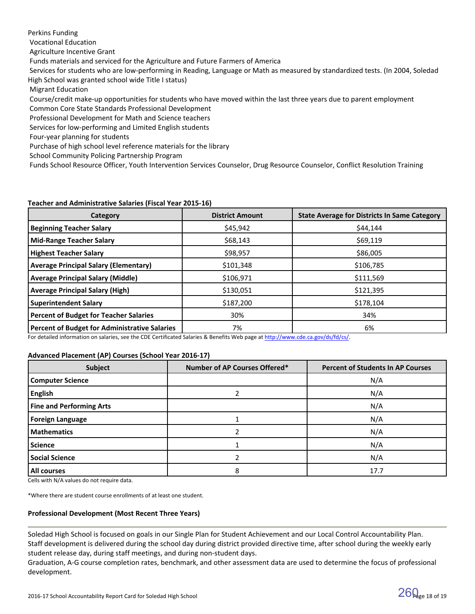Perkins Funding Vocational Education Agriculture Incentive Grant Funds materials and serviced for the Agriculture and Future Farmers of America Services for students who are low-performing in Reading, Language or Math as measured by standardized tests. (In 2004, Soledad High School was granted school wide Title I status) Migrant Education

 Course/credit make-up opportunities for students who have moved within the last three years due to parent employment Common Core State Standards Professional Development

Professional Development for Math and Science teachers

Services for low-performing and Limited English students

Four-year planning for students

Purchase of high school level reference materials for the library

School Community Policing Partnership Program

Funds School Resource Officer, Youth Intervention Services Counselor, Drug Resource Counselor, Conflict Resolution Training

### **Teacher and Administrative Salaries (Fiscal Year 2015-16)**

| <b>Category</b>                               | <b>District Amount</b> | <b>State Average for Districts In Same Category</b> |
|-----------------------------------------------|------------------------|-----------------------------------------------------|
| <b>Beginning Teacher Salary</b>               | \$45,942               | \$44,144                                            |
| <b>Mid-Range Teacher Salary</b>               | \$68,143               | \$69,119                                            |
| <b>Highest Teacher Salary</b>                 | \$98,957               | \$86,005                                            |
| <b>Average Principal Salary (Elementary)</b>  | \$101,348              | \$106,785                                           |
| <b>Average Principal Salary (Middle)</b>      | \$106,971              | \$111,569                                           |
| <b>Average Principal Salary (High)</b>        | \$130,051              | \$121,395                                           |
| <b>Superintendent Salary</b>                  | \$187,200              | \$178,104                                           |
| <b>Percent of Budget for Teacher Salaries</b> | 30%                    | 34%                                                 |
| Percent of Budget for Administrative Salaries | 7%                     | 6%                                                  |

For detailed information on salaries, see the CDE Certificated Salaries & Benefits Web page at [http://www.cde.ca.gov/ds/fd/cs/.](http://www.cde.ca.gov/ds/fd/cs/)

# **Advanced Placement (AP) Courses (School Year 2016-17)**

| <b>Subject</b>                  | Number of AP Courses Offered* | <b>Percent of Students In AP Courses</b> |
|---------------------------------|-------------------------------|------------------------------------------|
| <b>Computer Science</b>         |                               | N/A                                      |
| <b>English</b>                  |                               | N/A                                      |
| <b>Fine and Performing Arts</b> |                               | N/A                                      |
| <b>Foreign Language</b>         |                               | N/A                                      |
| <b>Mathematics</b>              |                               | N/A                                      |
| <b>Science</b>                  |                               | N/A                                      |
| <b>Social Science</b>           |                               | N/A                                      |
| <b>All courses</b>              | 8                             | 17.7                                     |

Cells with N/A values do not require data.

\*Where there are student course enrollments of at least one student.

### **Professional Development (Most Recent Three Years)**

Soledad High School is focused on goals in our Single Plan for Student Achievement and our Local Control Accountability Plan. Staff development is delivered during the school day during district provided directive time, after school during the weekly early student release day, during staff meetings, and during non-student days.

Graduation, A-G course completion rates, benchmark, and other assessment data are used to determine the focus of professional development.